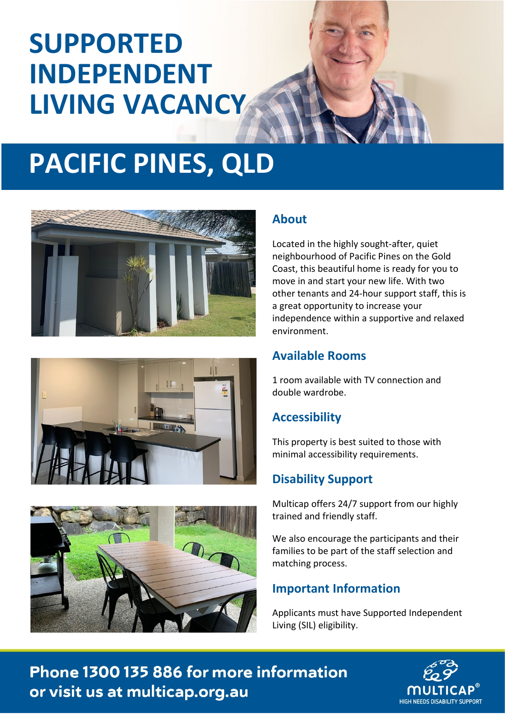# **SUPPORTED INDEPENDENT LIVING VACANCY**

# **PACIFIC PINES, QLD**







### **About**

Located in the highly sought-after, quiet neighbourhood of Pacific Pines on the Gold Coast, this beautiful home is ready for you to move in and start your new life. With two other tenants and 24-hour support staff, this is a great opportunity to increase your independence within a supportive and relaxed environment.

#### **Available Rooms**

1 room available with TV connection and double wardrobe.

### **Accessibility**

This property is best suited to those with minimal accessibility requirements.

### **Disability Support**

Multicap offers 24/7 support from our highly trained and friendly staff.

We also encourage the participants and their families to be part of the staff selection and matching process.

### **Important Information**

Applicants must have Supported Independent Living (SIL) eligibility.

Phone 1300 135 886 for more information or visit us at multicap.org.au